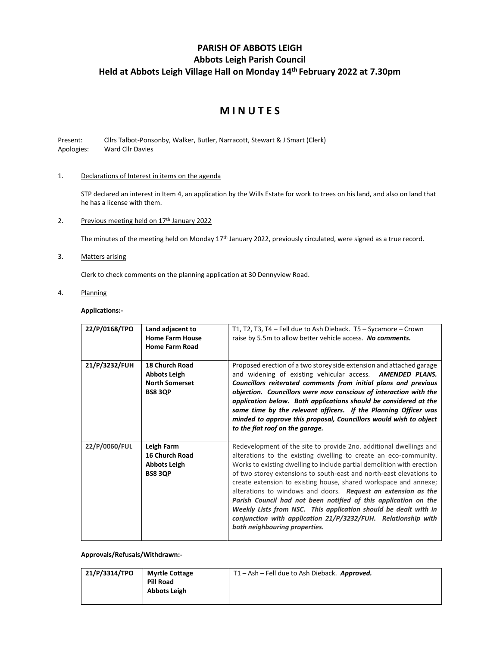## **PARISH OF ABBOTS LEIGH Abbots Leigh Parish Council Held at Abbots Leigh Village Hall on Monday 14 th February 2022 at 7.30pm**

# **M I N U T E S**

Present: Cllrs Talbot-Ponsonby, Walker, Butler, Narracott, Stewart & J Smart (Clerk) Apologies: Ward Cllr Davies

## 1. Declarations of Interest in items on the agenda

STP declared an interest in Item 4, an application by the Wills Estate for work to trees on his land, and also on land that he has a license with them.

2. Previous meeting held on 17<sup>th</sup> January 2022

The minutes of the meeting held on Monday 17th January 2022, previously circulated, were signed as a true record.

3. Matters arising

Clerk to check comments on the planning application at 30 Dennyview Road.

4. Planning

## **Applications:-**

| 22/P/0168/TPO | Land adjacent to<br><b>Home Farm House</b><br><b>Home Farm Road</b>                     | T1, T2, T3, T4 - Fell due to Ash Dieback. T5 - Sycamore - Crown<br>raise by 5.5m to allow better vehicle access. No comments.                                                                                                                                                                                                                                                                                                                                                                                                                                                                                                                                        |
|---------------|-----------------------------------------------------------------------------------------|----------------------------------------------------------------------------------------------------------------------------------------------------------------------------------------------------------------------------------------------------------------------------------------------------------------------------------------------------------------------------------------------------------------------------------------------------------------------------------------------------------------------------------------------------------------------------------------------------------------------------------------------------------------------|
| 21/P/3232/FUH | <b>18 Church Road</b><br><b>Abbots Leigh</b><br><b>North Somerset</b><br><b>BS8 3QP</b> | Proposed erection of a two storey side extension and attached garage<br>and widening of existing vehicular access. <b>AMENDED PLANS.</b><br>Councillors reiterated comments from initial plans and previous<br>objection. Councillors were now conscious of interaction with the<br>application below. Both applications should be considered at the<br>same time by the relevant officers. If the Planning Officer was<br>minded to approve this proposal, Councillors would wish to object<br>to the flat roof on the garage.                                                                                                                                      |
| 22/P/0060/FUL | Leigh Farm<br><b>16 Church Road</b><br><b>Abbots Leigh</b><br><b>BS8 3QP</b>            | Redevelopment of the site to provide 2no. additional dwellings and<br>alterations to the existing dwelling to create an eco-community.<br>Works to existing dwelling to include partial demolition with erection<br>of two storey extensions to south-east and north-east elevations to<br>create extension to existing house, shared workspace and annexe;<br>alterations to windows and doors. Request an extension as the<br>Parish Council had not been notified of this application on the<br>Weekly Lists from NSC. This application should be dealt with in<br>conjunction with application 21/P/3232/FUH. Relationship with<br>both neighbouring properties. |

**Approvals/Refusals/Withdrawn:-**

| 21/P/3314/TPO | <b>Myrtle Cottage</b> | T1 - Ash - Fell due to Ash Dieback. Approved. |
|---------------|-----------------------|-----------------------------------------------|
|               | <b>Pill Road</b>      |                                               |
|               | <b>Abbots Leigh</b>   |                                               |
|               |                       |                                               |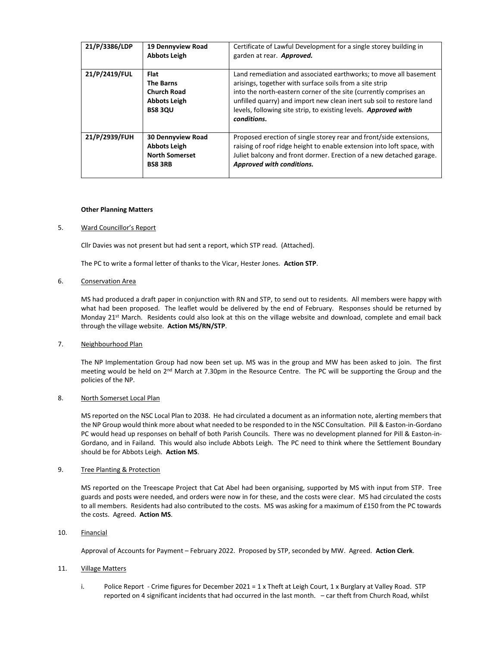| 21/P/3386/LDP | 19 Dennyview Road<br><b>Abbots Leigh</b>                                                       | Certificate of Lawful Development for a single storey building in<br>garden at rear. Approved.                                                                                                                                                                                                                                                             |
|---------------|------------------------------------------------------------------------------------------------|------------------------------------------------------------------------------------------------------------------------------------------------------------------------------------------------------------------------------------------------------------------------------------------------------------------------------------------------------------|
| 21/P/2419/FUL | <b>Flat</b><br><b>The Barns</b><br><b>Church Road</b><br><b>Abbots Leigh</b><br><b>BS8 3QU</b> | Land remediation and associated earthworks; to move all basement<br>arisings, together with surface soils from a site strip<br>into the north-eastern corner of the site (currently comprises an<br>unfilled quarry) and import new clean inert sub soil to restore land<br>levels, following site strip, to existing levels. Approved with<br>conditions. |
| 21/P/2939/FUH | <b>30 Dennyview Road</b><br><b>Abbots Leigh</b><br><b>North Somerset</b><br><b>BS8 3RB</b>     | Proposed erection of single storey rear and front/side extensions,<br>raising of roof ridge height to enable extension into loft space, with<br>Juliet balcony and front dormer. Erection of a new detached garage.<br>Approved with conditions.                                                                                                           |

#### **Other Planning Matters**

#### 5. Ward Councillor's Report

Cllr Davies was not present but had sent a report, which STP read. (Attached).

The PC to write a formal letter of thanks to the Vicar, Hester Jones. **Action STP**.

#### 6. Conservation Area

MS had produced a draft paper in conjunction with RN and STP, to send out to residents. All members were happy with what had been proposed. The leaflet would be delivered by the end of February. Responses should be returned by Monday 21<sup>st</sup> March. Residents could also look at this on the village website and download, complete and email back through the village website. **Action MS/RN/STP**.

#### 7. Neighbourhood Plan

The NP Implementation Group had now been set up. MS was in the group and MW has been asked to join. The first meeting would be held on 2<sup>nd</sup> March at 7.30pm in the Resource Centre. The PC will be supporting the Group and the policies of the NP.

#### 8. North Somerset Local Plan

MS reported on the NSC Local Plan to 2038. He had circulated a document as an information note, alerting members that the NP Group would think more about what needed to be responded to in the NSC Consultation. Pill & Easton-in-Gordano PC would head up responses on behalf of both Parish Councils. There was no development planned for Pill & Easton-in-Gordano, and in Failand. This would also include Abbots Leigh. The PC need to think where the Settlement Boundary should be for Abbots Leigh. **Action MS**.

#### 9. Tree Planting & Protection

MS reported on the Treescape Project that Cat Abel had been organising, supported by MS with input from STP. Tree guards and posts were needed, and orders were now in for these, and the costs were clear. MS had circulated the costs to all members. Residents had also contributed to the costs. MS was asking for a maximum of £150 from the PC towards the costs. Agreed. **Action MS**.

#### 10. Financial

Approval of Accounts for Payment – February 2022. Proposed by STP, seconded by MW. Agreed. **Action Clerk**.

#### 11. Village Matters

i. Police Report - Crime figures for December 2021 = 1 x Theft at Leigh Court, 1 x Burglary at Valley Road. STP reported on 4 significant incidents that had occurred in the last month. – car theft from Church Road, whilst